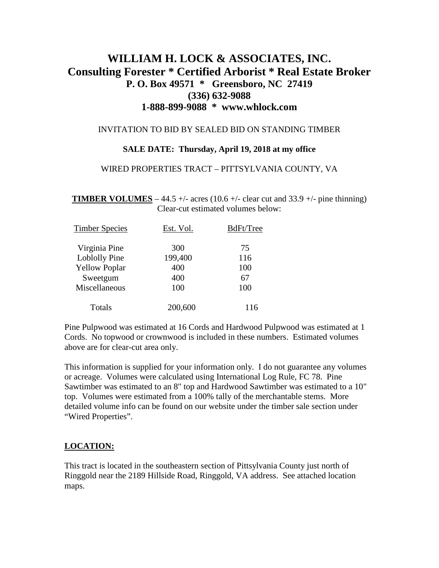# **WILLIAM H. LOCK & ASSOCIATES, INC. Consulting Forester \* Certified Arborist \* Real Estate Broker P. O. Box 49571 \* Greensboro, NC 27419 (336) 632-9088 1-888-899-9088 \* www.whlock.com**

## INVITATION TO BID BY SEALED BID ON STANDING TIMBER

### **SALE DATE: Thursday, April 19, 2018 at my office**

#### WIRED PROPERTIES TRACT – PITTSYLVANIA COUNTY, VA

**TIMBER VOLUMES** – 44.5 +/- acres (10.6 +/- clear cut and 33.9 +/- pine thinning) Clear-cut estimated volumes below:

| <b>Timber Species</b> | Est. Vol. | BdFt/Tree |
|-----------------------|-----------|-----------|
| Virginia Pine         | 300       | 75        |
| Loblolly Pine         | 199,400   | 116       |
| <b>Yellow Poplar</b>  | 400       | 100       |
| Sweetgum              | 400       | 67        |
| Miscellaneous         | 100       | 100       |
| Totals                | 200,600   | 116       |

Pine Pulpwood was estimated at 16 Cords and Hardwood Pulpwood was estimated at 1 Cords. No topwood or crownwood is included in these numbers. Estimated volumes above are for clear-cut area only.

This information is supplied for your information only. I do not guarantee any volumes or acreage. Volumes were calculated using International Log Rule, FC 78. Pine Sawtimber was estimated to an 8" top and Hardwood Sawtimber was estimated to a 10" top. Volumes were estimated from a 100% tally of the merchantable stems. More detailed volume info can be found on our website under the timber sale section under "Wired Properties".

## **LOCATION:**

This tract is located in the southeastern section of Pittsylvania County just north of Ringgold near the 2189 Hillside Road, Ringgold, VA address. See attached location maps.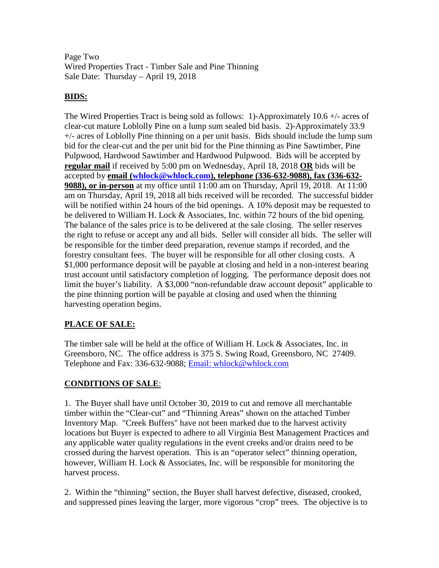Page Two Wired Properties Tract - Timber Sale and Pine Thinning Sale Date: Thursday – April 19, 2018

# **BIDS:**

The Wired Properties Tract is being sold as follows: 1)-Approximately  $10.6 +/-$  acres of clear-cut mature Loblolly Pine on a lump sum sealed bid basis. 2)-Approximately 33.9 +/- acres of Loblolly Pine thinning on a per unit basis. Bids should include the lump sum bid for the clear-cut and the per unit bid for the Pine thinning as Pine Sawtimber, Pine Pulpwood, Hardwood Sawtimber and Hardwood Pulpwood. Bids will be accepted by **regular mail** if received by 5:00 pm on Wednesday, April 18, 2018 **OR** bids will be accepted by **email [\(whlock@whlock.com\)](mailto:whlock@whlock.com), telephone (336-632-9088), fax (336-632- 9088), or in-person** at my office until 11:00 am on Thursday, April 19, 2018. At 11:00 am on Thursday, April 19, 2018 all bids received will be recorded. The successful bidder will be notified within 24 hours of the bid openings. A 10% deposit may be requested to be delivered to William H. Lock & Associates, Inc. within 72 hours of the bid opening. The balance of the sales price is to be delivered at the sale closing. The seller reserves the right to refuse or accept any and all bids. Seller will consider all bids. The seller will be responsible for the timber deed preparation, revenue stamps if recorded, and the forestry consultant fees. The buyer will be responsible for all other closing costs. A \$1,000 performance deposit will be payable at closing and held in a non-interest bearing trust account until satisfactory completion of logging. The performance deposit does not limit the buyer's liability. A \$3,000 "non-refundable draw account deposit" applicable to the pine thinning portion will be payable at closing and used when the thinning harvesting operation begins.

# **PLACE OF SALE:**

The timber sale will be held at the office of William H. Lock & Associates, Inc. in Greensboro, NC. The office address is 375 S. Swing Road, Greensboro, NC 27409. Telephone and Fax: 336-632-9088; Email: whlock@whlock.com

# **CONDITIONS OF SALE**:

1. The Buyer shall have until October 30, 2019 to cut and remove all merchantable timber within the "Clear-cut" and "Thinning Areas" shown on the attached Timber Inventory Map. "Creek Buffers" have not been marked due to the harvest activity locations but Buyer is expected to adhere to all Virginia Best Management Practices and any applicable water quality regulations in the event creeks and/or drains need to be crossed during the harvest operation. This is an "operator select" thinning operation, however, William H. Lock & Associates, Inc. will be responsible for monitoring the harvest process.

2. Within the "thinning" section, the Buyer shall harvest defective, diseased, crooked, and suppressed pines leaving the larger, more vigorous "crop" trees. The objective is to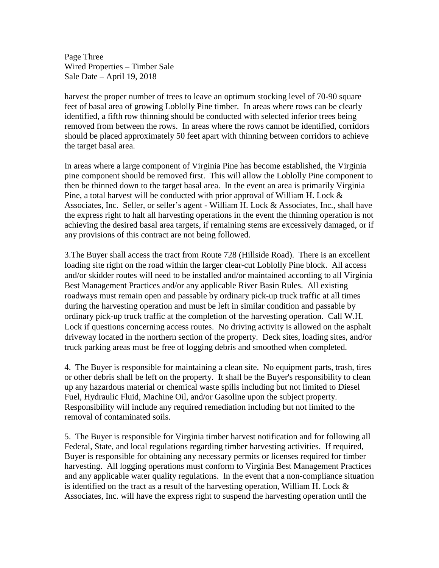Page Three Wired Properties – Timber Sale Sale Date – April 19, 2018

harvest the proper number of trees to leave an optimum stocking level of 70-90 square feet of basal area of growing Loblolly Pine timber. In areas where rows can be clearly identified, a fifth row thinning should be conducted with selected inferior trees being removed from between the rows. In areas where the rows cannot be identified, corridors should be placed approximately 50 feet apart with thinning between corridors to achieve the target basal area.

In areas where a large component of Virginia Pine has become established, the Virginia pine component should be removed first. This will allow the Loblolly Pine component to then be thinned down to the target basal area. In the event an area is primarily Virginia Pine, a total harvest will be conducted with prior approval of William H. Lock & Associates, Inc. Seller, or seller's agent - William H. Lock & Associates, Inc., shall have the express right to halt all harvesting operations in the event the thinning operation is not achieving the desired basal area targets, if remaining stems are excessively damaged, or if any provisions of this contract are not being followed.

3.The Buyer shall access the tract from Route 728 (Hillside Road). There is an excellent loading site right on the road within the larger clear-cut Loblolly Pine block. All access and/or skidder routes will need to be installed and/or maintained according to all Virginia Best Management Practices and/or any applicable River Basin Rules. All existing roadways must remain open and passable by ordinary pick-up truck traffic at all times during the harvesting operation and must be left in similar condition and passable by ordinary pick-up truck traffic at the completion of the harvesting operation. Call W.H. Lock if questions concerning access routes. No driving activity is allowed on the asphalt driveway located in the northern section of the property. Deck sites, loading sites, and/or truck parking areas must be free of logging debris and smoothed when completed.

4. The Buyer is responsible for maintaining a clean site. No equipment parts, trash, tires or other debris shall be left on the property. It shall be the Buyer's responsibility to clean up any hazardous material or chemical waste spills including but not limited to Diesel Fuel, Hydraulic Fluid, Machine Oil, and/or Gasoline upon the subject property. Responsibility will include any required remediation including but not limited to the removal of contaminated soils.

5. The Buyer is responsible for Virginia timber harvest notification and for following all Federal, State, and local regulations regarding timber harvesting activities. If required, Buyer is responsible for obtaining any necessary permits or licenses required for timber harvesting. All logging operations must conform to Virginia Best Management Practices and any applicable water quality regulations. In the event that a non-compliance situation is identified on the tract as a result of the harvesting operation, William H. Lock  $\&$ Associates, Inc. will have the express right to suspend the harvesting operation until the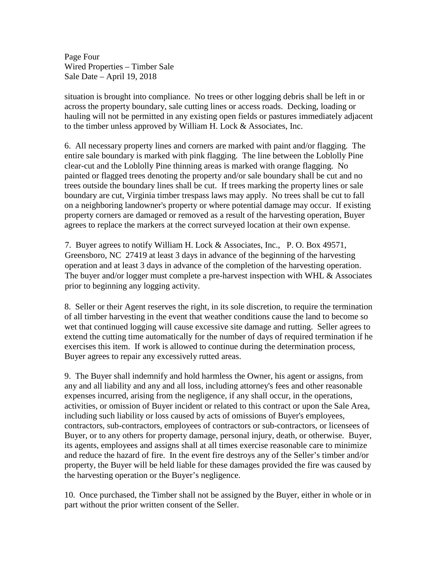Page Four Wired Properties – Timber Sale Sale Date – April 19, 2018

situation is brought into compliance. No trees or other logging debris shall be left in or across the property boundary, sale cutting lines or access roads. Decking, loading or hauling will not be permitted in any existing open fields or pastures immediately adjacent to the timber unless approved by William H. Lock & Associates, Inc.

6. All necessary property lines and corners are marked with paint and/or flagging. The entire sale boundary is marked with pink flagging. The line between the Loblolly Pine clear-cut and the Loblolly Pine thinning areas is marked with orange flagging. No painted or flagged trees denoting the property and/or sale boundary shall be cut and no trees outside the boundary lines shall be cut. If trees marking the property lines or sale boundary are cut, Virginia timber trespass laws may apply. No trees shall be cut to fall on a neighboring landowner's property or where potential damage may occur. If existing property corners are damaged or removed as a result of the harvesting operation, Buyer agrees to replace the markers at the correct surveyed location at their own expense.

7. Buyer agrees to notify William H. Lock & Associates, Inc., P. O. Box 49571, Greensboro, NC 27419 at least 3 days in advance of the beginning of the harvesting operation and at least 3 days in advance of the completion of the harvesting operation. The buyer and/or logger must complete a pre-harvest inspection with WHL  $\&$  Associates prior to beginning any logging activity.

8. Seller or their Agent reserves the right, in its sole discretion, to require the termination of all timber harvesting in the event that weather conditions cause the land to become so wet that continued logging will cause excessive site damage and rutting. Seller agrees to extend the cutting time automatically for the number of days of required termination if he exercises this item. If work is allowed to continue during the determination process, Buyer agrees to repair any excessively rutted areas.

9. The Buyer shall indemnify and hold harmless the Owner, his agent or assigns, from any and all liability and any and all loss, including attorney's fees and other reasonable expenses incurred, arising from the negligence, if any shall occur, in the operations, activities, or omission of Buyer incident or related to this contract or upon the Sale Area, including such liability or loss caused by acts of omissions of Buyer's employees, contractors, sub-contractors, employees of contractors or sub-contractors, or licensees of Buyer, or to any others for property damage, personal injury, death, or otherwise. Buyer, its agents, employees and assigns shall at all times exercise reasonable care to minimize and reduce the hazard of fire. In the event fire destroys any of the Seller's timber and/or property, the Buyer will be held liable for these damages provided the fire was caused by the harvesting operation or the Buyer's negligence.

10. Once purchased, the Timber shall not be assigned by the Buyer, either in whole or in part without the prior written consent of the Seller.